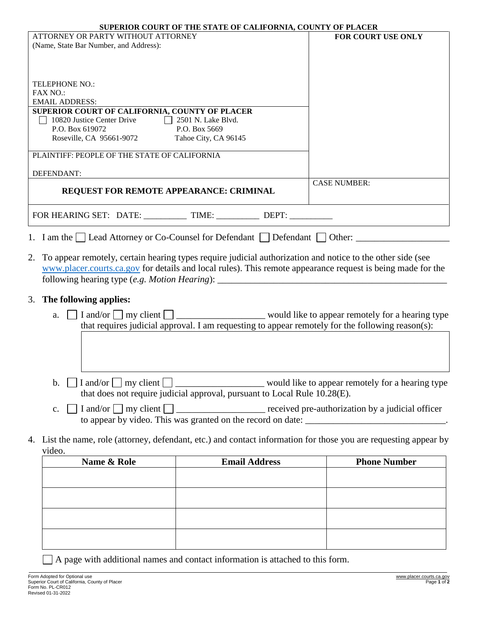|                                                                                                                             | <b>SUPERIOR COURT OF THE STATE OF CALIFORNIA, COUNTY OF PLACER</b>                                          |                                                  |
|-----------------------------------------------------------------------------------------------------------------------------|-------------------------------------------------------------------------------------------------------------|--------------------------------------------------|
| ATTORNEY OR PARTY WITHOUT ATTORNEY                                                                                          |                                                                                                             | FOR COURT USE ONLY                               |
| (Name, State Bar Number, and Address):                                                                                      |                                                                                                             |                                                  |
|                                                                                                                             |                                                                                                             |                                                  |
|                                                                                                                             |                                                                                                             |                                                  |
| <b>TELEPHONE NO.:</b><br><b>FAX NO.:</b>                                                                                    |                                                                                                             |                                                  |
| <b>EMAIL ADDRESS:</b>                                                                                                       |                                                                                                             |                                                  |
| SUPERIOR COURT OF CALIFORNIA, COUNTY OF PLACER                                                                              |                                                                                                             |                                                  |
| 10820 Justice Center Drive 2501 N. Lake Blvd.<br>P.O. Box 619072                                                            | P.O. Box 5669                                                                                               |                                                  |
| Roseville, CA 95661-9072                                                                                                    | Tahoe City, CA 96145                                                                                        |                                                  |
|                                                                                                                             |                                                                                                             |                                                  |
| PLAINTIFF: PEOPLE OF THE STATE OF CALIFORNIA                                                                                |                                                                                                             |                                                  |
| DEFENDANT:                                                                                                                  |                                                                                                             |                                                  |
| REQUEST FOR REMOTE APPEARANCE: CRIMINAL                                                                                     |                                                                                                             | <b>CASE NUMBER:</b>                              |
|                                                                                                                             |                                                                                                             |                                                  |
|                                                                                                                             |                                                                                                             |                                                  |
| 1. I am the Lead Attorney or Co-Counsel for Defendant Level and Level Other:                                                |                                                                                                             |                                                  |
|                                                                                                                             |                                                                                                             |                                                  |
| 2. To appear remotely, certain hearing types require judicial authorization and notice to the other side (see               |                                                                                                             |                                                  |
|                                                                                                                             | www.placer.courts.ca.gov for details and local rules). This remote appearance request is being made for the |                                                  |
|                                                                                                                             | following hearing type (e.g. Motion Hearing): ___________________________________                           |                                                  |
| 3. The following applies:                                                                                                   |                                                                                                             |                                                  |
| a.                                                                                                                          |                                                                                                             |                                                  |
|                                                                                                                             | that requires judicial approval. I am requesting to appear remotely for the following reason(s):            |                                                  |
|                                                                                                                             |                                                                                                             |                                                  |
|                                                                                                                             |                                                                                                             |                                                  |
|                                                                                                                             |                                                                                                             |                                                  |
|                                                                                                                             |                                                                                                             |                                                  |
| $\mathbf{b}$ .                                                                                                              |                                                                                                             |                                                  |
|                                                                                                                             | that does not require judicial approval, pursuant to Local Rule 10.28(E).                                   |                                                  |
| I and/or $\Box$ my client $\Box$<br>$C_{\bullet}$                                                                           |                                                                                                             | received pre-authorization by a judicial officer |
|                                                                                                                             |                                                                                                             |                                                  |
|                                                                                                                             |                                                                                                             |                                                  |
| 4. List the name, role (attorney, defendant, etc.) and contact information for those you are requesting appear by<br>video. |                                                                                                             |                                                  |
| Name & Role                                                                                                                 | <b>Email Address</b>                                                                                        | <b>Phone Number</b>                              |
|                                                                                                                             |                                                                                                             |                                                  |
|                                                                                                                             |                                                                                                             |                                                  |
|                                                                                                                             |                                                                                                             |                                                  |
|                                                                                                                             |                                                                                                             |                                                  |

| Name & Role | <b>Email Address</b> | <b>Phone Number</b> |
|-------------|----------------------|---------------------|
|             |                      |                     |
|             |                      |                     |
|             |                      |                     |
|             |                      |                     |
|             |                      |                     |
|             |                      |                     |
|             |                      |                     |
|             |                      |                     |

A page with additional names and contact information is attached to this form.